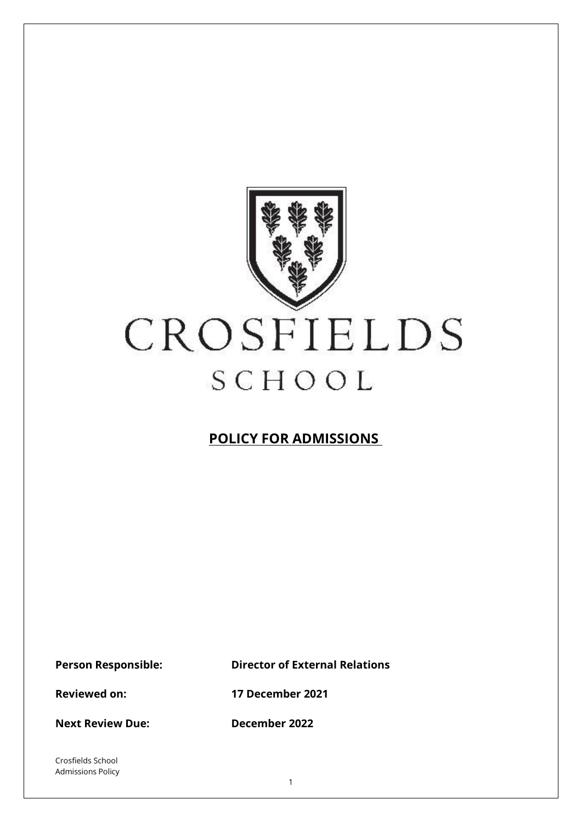

**POLICY FOR ADMISSIONS**

**Person Responsible: Director of External Relations**

**Reviewed on: 17 December 2021**

**Next Review Due: December 2022** 

Crosfields School Admissions Policy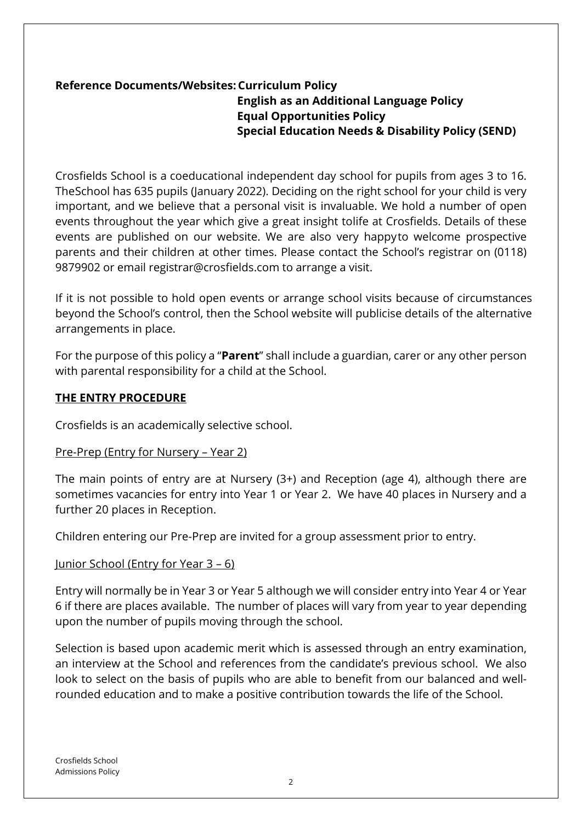## **Reference Documents/Websites: Curriculum Policy English as an Additional Language Policy Equal Opportunities Policy Special Education Needs & Disability Policy (SEND)**

Crosfields School is a coeducational independent day school for pupils from ages 3 to 16. TheSchool has 635 pupils (January 2022). Deciding on the right school for your child is very important, and we believe that a personal visit is invaluable. We hold a number of open events throughout the year which give a great insight tolife at Crosfields. Details of these events are published on our website. We are also very happyto welcome prospective parents and their children at other times. Please contact the School's registrar on (0118) 9879902 or email [registrar@crosfields.com](mailto:registrar@crosfields.com) to arrange a visit.

If it is not possible to hold open events or arrange school visits because of circumstances beyond the School's control, then the School website will publicise details of the alternative arrangements in place.

For the purpose of this policy a "**Parent**" shall include a guardian, carer or any other person with parental responsibility for a child at the School.

## **THE ENTRY PROCEDURE**

Crosfields is an academically selective school.

## Pre-Prep (Entry for Nursery – Year 2)

The main points of entry are at Nursery (3+) and Reception (age 4), although there are sometimes vacancies for entry into Year 1 or Year 2. We have 40 places in Nursery and a further 20 places in Reception.

Children entering our Pre-Prep are invited for a group assessment prior to entry.

## Junior School (Entry for Year 3 – 6)

Entry will normally be in Year 3 or Year 5 although we will consider entry into Year 4 or Year 6 if there are places available. The number of places will vary from year to year depending upon the number of pupils moving through the school.

Selection is based upon academic merit which is assessed through an entry examination, an interview at the School and references from the candidate's previous school. We also look to select on the basis of pupils who are able to benefit from our balanced and wellrounded education and to make a positive contribution towards the life of the School.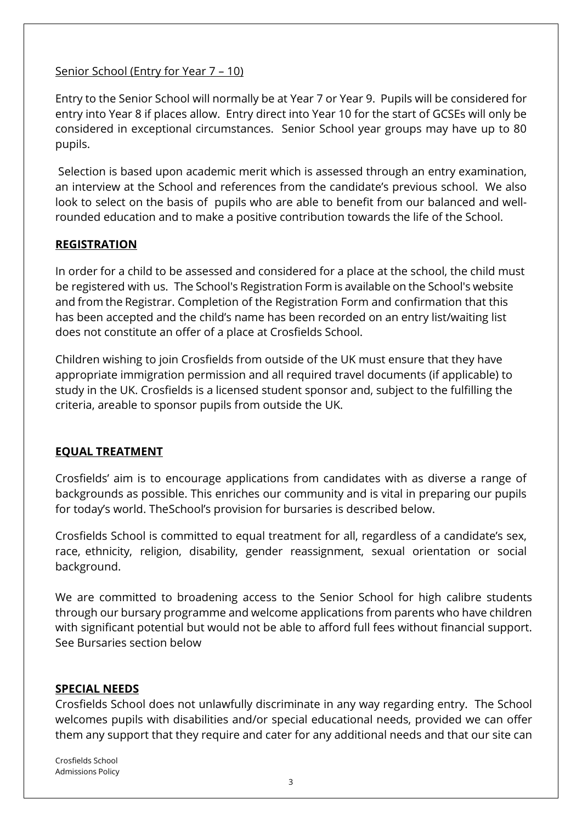## Senior School (Entry for Year 7 – 10)

Entry to the Senior School will normally be at Year 7 or Year 9. Pupils will be considered for entry into Year 8 if places allow. Entry direct into Year 10 for the start of GCSEs will only be considered in exceptional circumstances. Senior School year groups may have up to 80 pupils.

Selection is based upon academic merit which is assessed through an entry examination, an interview at the School and references from the candidate's previous school. We also look to select on the basis of pupils who are able to benefit from our balanced and wellrounded education and to make a positive contribution towards the life of the School.

## **REGISTRATION**

In order for a child to be assessed and considered for a place at the school, the child must be registered with us. The School's Registration Form is available on the School's website and from the Registrar. Completion of the Registration Form and confirmation that this has been accepted and the child's name has been recorded on an entry list/waiting list does not constitute an offer of a place at Crosfields School.

Children wishing to join Crosfields from outside of the UK must ensure that they have appropriate immigration permission and all required travel documents (if applicable) to study in the UK. Crosfields is a licensed student sponsor and, subject to the fulfilling the criteria, areable to sponsor pupils from outside the UK.

## **EQUAL TREATMENT**

Crosfields' aim is to encourage applications from candidates with as diverse a range of backgrounds as possible. This enriches our community and is vital in preparing our pupils for today's world. TheSchool's provision for bursaries is described below.

Crosfields School is committed to equal treatment for all, regardless of a candidate's sex, race, ethnicity, religion, disability, gender reassignment, sexual orientation or social background.

We are committed to broadening access to the Senior School for high calibre students through our bursary programme and welcome applications from parents who have children with significant potential but would not be able to afford full fees without financial support. See Bursaries section below

## **SPECIAL NEEDS**

Crosfields School does not unlawfully discriminate in any way regarding entry. The School welcomes pupils with disabilities and/or special educational needs, provided we can offer them any support that they require and cater for any additional needs and that our site can

Crosfields School Admissions Policy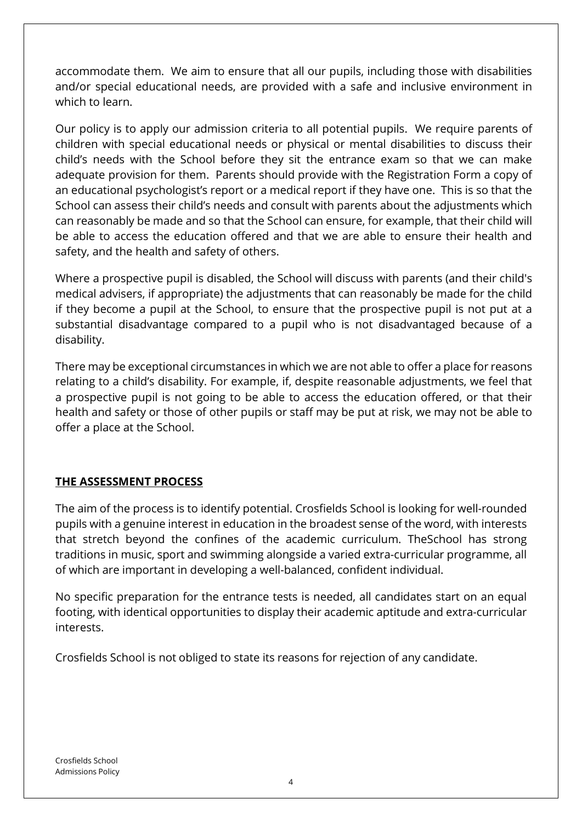accommodate them. We aim to ensure that all our pupils, including those with disabilities and/or special educational needs, are provided with a safe and inclusive environment in which to learn.

Our policy is to apply our admission criteria to all potential pupils. We require parents of children with special educational needs or physical or mental disabilities to discuss their child's needs with the School before they sit the entrance exam so that we can make adequate provision for them. Parents should provide with the Registration Form a copy of an educational psychologist's report or a medical report if they have one. This is so that the School can assess their child's needs and consult with parents about the adjustments which can reasonably be made and so that the School can ensure, for example, that their child will be able to access the education offered and that we are able to ensure their health and safety, and the health and safety of others.

Where a prospective pupil is disabled, the School will discuss with parents (and their child's medical advisers, if appropriate) the adjustments that can reasonably be made for the child if they become a pupil at the School, to ensure that the prospective pupil is not put at a substantial disadvantage compared to a pupil who is not disadvantaged because of a disability.

There may be exceptional circumstances in which we are not able to offer a place for reasons relating to a child's disability. For example, if, despite reasonable adjustments, we feel that a prospective pupil is not going to be able to access the education offered, or that their health and safety or those of other pupils or staff may be put at risk, we may not be able to offer a place at the School.

## **THE ASSESSMENT PROCESS**

The aim of the process is to identify potential. Crosfields School is looking for well-rounded pupils with a genuine interest in education in the broadest sense of the word, with interests that stretch beyond the confines of the academic curriculum. TheSchool has strong traditions in music, sport and swimming alongside a varied extra-curricular programme, all of which are important in developing a well-balanced, confident individual.

No specific preparation for the entrance tests is needed, all candidates start on an equal footing, with identical opportunities to display their academic aptitude and extra-curricular interests.

Crosfields School is not obliged to state its reasons for rejection of any candidate.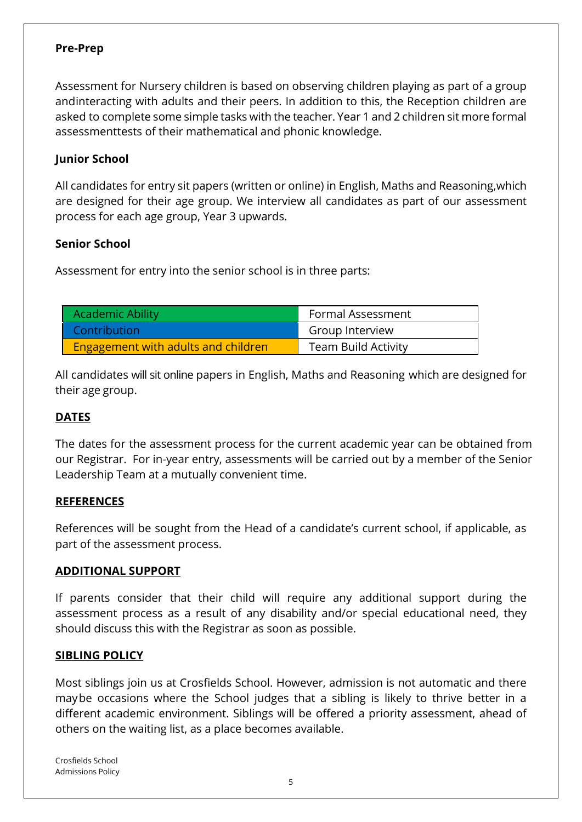#### **Pre-Prep**

Assessment for Nursery children is based on observing children playing as part of a group andinteracting with adults and their peers. In addition to this, the Reception children are asked to complete some simple tasks with the teacher. Year 1 and 2 children sit more formal assessmenttests of their mathematical and phonic knowledge.

### **Junior School**

All candidates for entry sit papers (written or online) in English, Maths and Reasoning,which are designed for their age group. We interview all candidates as part of our assessment process for each age group, Year 3 upwards.

### **Senior School**

Assessment for entry into the senior school is in three parts:

| Academic Ability                    | Formal Assessment          |
|-------------------------------------|----------------------------|
| Contribution                        | <b>Group Interview</b>     |
| Engagement with adults and children | <b>Team Build Activity</b> |

All candidates will sit online papers in English, Maths and Reasoning which are designed for their age group.

### **DATES**

The dates for the assessment process for the current academic year can be obtained from our Registrar. For in-year entry, assessments will be carried out by a member of the Senior Leadership Team at a mutually convenient time.

#### **REFERENCES**

References will be sought from the Head of a candidate's current school, if applicable, as part of the assessment process.

#### **ADDITIONAL SUPPORT**

If parents consider that their child will require any additional support during the assessment process as a result of any disability and/or special educational need, they should discuss this with the Registrar as soon as possible.

#### **SIBLING POLICY**

Most siblings join us at Crosfields School. However, admission is not automatic and there maybe occasions where the School judges that a sibling is likely to thrive better in a different academic environment. Siblings will be offered a priority assessment, ahead of others on the waiting list, as a place becomes available.

Crosfields School Admissions Policy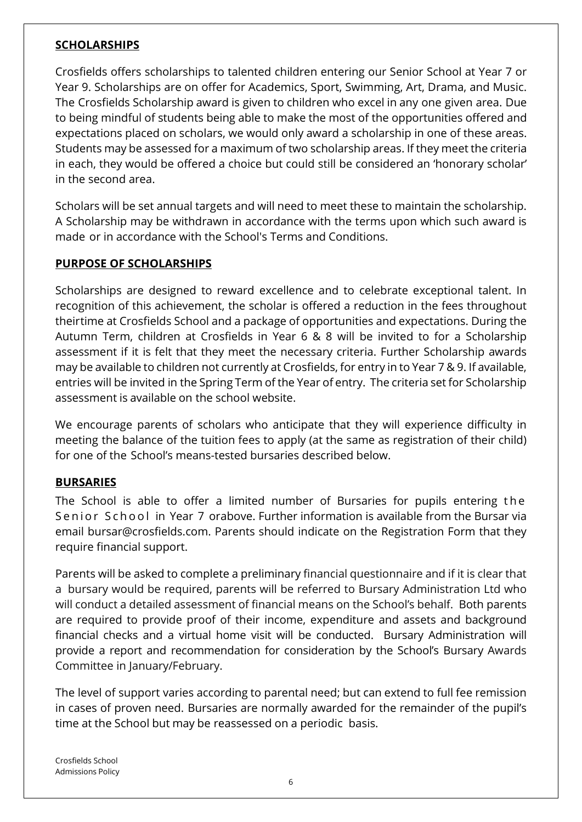## **SCHOLARSHIPS**

Crosfields offers scholarships to talented children entering our Senior School at Year 7 or Year 9. Scholarships are on offer for Academics, Sport, Swimming, Art, Drama, and Music. The Crosfields Scholarship award is given to children who excel in any one given area. Due to being mindful of students being able to make the most of the opportunities offered and expectations placed on scholars, we would only award a scholarship in one of these areas. Students may be assessed for a maximum of two scholarship areas. If they meet the criteria in each, they would be offered a choice but could still be considered an 'honorary scholar' in the second area.

Scholars will be set annual targets and will need to meet these to maintain the scholarship. A Scholarship may be withdrawn in accordance with the terms upon which such award is made or in accordance with the School's Terms and Conditions.

## **PURPOSE OF SCHOLARSHIPS**

Scholarships are designed to reward excellence and to celebrate exceptional talent. In recognition of this achievement, the scholar is offered a reduction in the fees throughout theirtime at Crosfields School and a package of opportunities and expectations. During the Autumn Term, children at Crosfields in Year 6 & 8 will be invited to for a Scholarship assessment if it is felt that they meet the necessary criteria. Further Scholarship awards may be available to children not currently at Crosfields, for entry in to Year 7 & 9. If available, entries will be invited in the Spring Term of the Year of entry. The criteria set for Scholarship assessment is available on the school website.

We encourage parents of scholars who anticipate that they will experience difficulty in meeting the balance of the tuition fees to apply (at the same as registration of their child) for one of the School's means-tested bursaries described below.

## **BURSARIES**

The School is able to offer a limited number of Bursaries for pupils entering the Senior School in Year 7 orabove. Further information is available from the Bursar via email bursar@crosfields.com. Parents should indicate on the Registration Form that they require financial support.

Parents will be asked to complete a preliminary financial questionnaire and if it is clear that a bursary would be required, parents will be referred to Bursary Administration Ltd who will conduct a detailed assessment of financial means on the School's behalf. Both parents are required to provide proof of their income, expenditure and assets and background financial checks and a virtual home visit will be conducted. Bursary Administration will provide a report and recommendation for consideration by the School's Bursary Awards Committee in January/February.

The level of support varies according to parental need; but can extend to full fee remission in cases of proven need. Bursaries are normally awarded for the remainder of the pupil's time at the School but may be reassessed on a periodic basis.